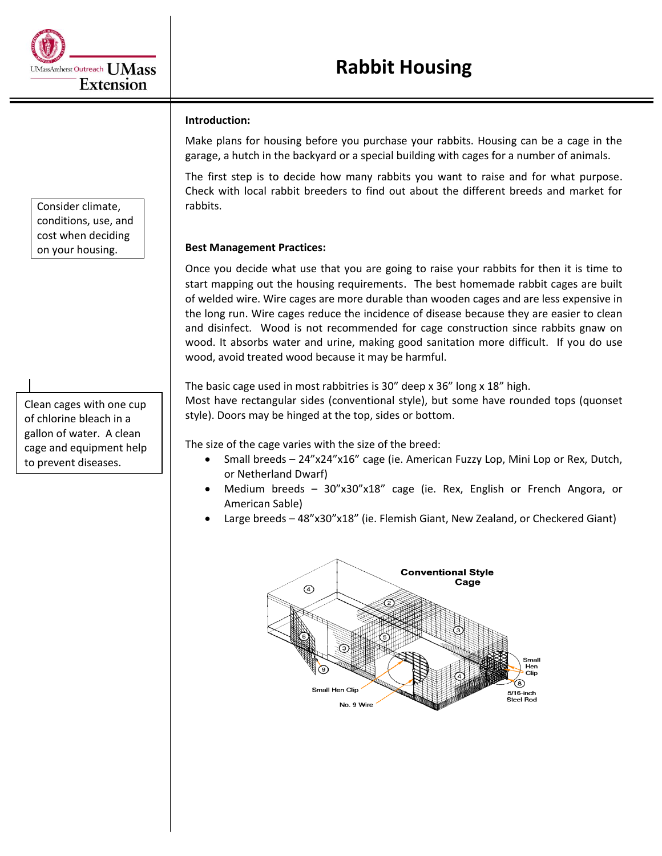## **Introduction:**

Make plans for housing before you purchase your rabbits. Housing can be a cage in the garage, a hutch in the backyard or a special building with cages for a number of animals.

The first step is to decide how many rabbits you want to raise and for what purpose. Check with local rabbit breeders to find out about the different breeds and market for rabbits.

## **Best Management Practices:**

Once you decide what use that you are going to raise your rabbits for then it is time to start mapping out the housing requirements. The best homemade rabbit cages are built of welded wire. Wire cages are more durable than wooden cages and are less expensive in the long run. Wire cages reduce the incidence of disease because they are easier to clean and disinfect. Wood is not recommended for cage construction since rabbits gnaw on wood. It absorbs water and urine, making good sanitation more difficult. If you do use wood, avoid treated wood because it may be harmful.

The basic cage used in most rabbitries is 30" deep x 36" long x 18" high.

Most have rectangular sides (conventional style), but some have rounded tops (quonset style). Doors may be hinged at the top, sides or bottom.

The size of the cage varies with the size of the breed:

- Small breeds 24"x24"x16" cage (ie. American Fuzzy Lop, Mini Lop or Rex, Dutch, or Netherland Dwarf)
- Medium breeds 30"x30"x18" cage (ie. Rex, English or French Angora, or American Sable)
- Large breeds 48"x30"x18" (ie. Flemish Giant, New Zealand, or Checkered Giant)



Consider climate, conditions, use, and cost when deciding on your housing.

## Clean cages with one cup of chlorine bleach in a gallon of water. A clean cage and equipment help to prevent diseases.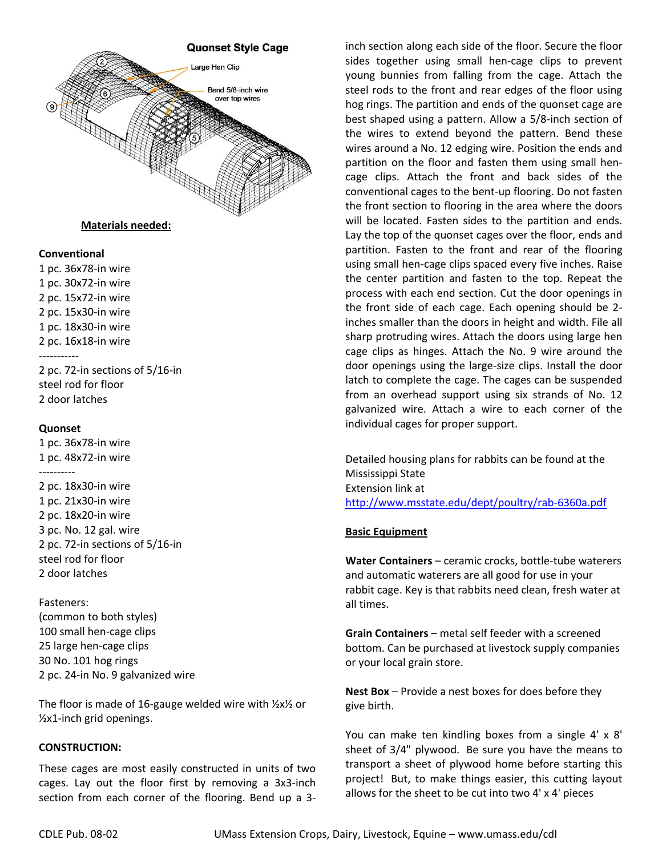

# **Materials needed:**

#### **Conventional**

1 pc. 36x78-in wire 1 pc. 30x72-in wire 2 pc. 15x72-in wire 2 pc. 15x30-in wire 1 pc. 18x30-in wire 2 pc. 16x18-in wire ----------- 2 pc. 72-in sections of 5/16-in

steel rod for floor 2 door latches

### **Quonset**

1 pc. 36x78-in wire 1 pc. 48x72-in wire ----------

2 pc. 18x30-in wire 1 pc. 21x30-in wire 2 pc. 18x20-in wire 3 pc. No. 12 gal. wire 2 pc. 72-in sections of 5/16-in steel rod for floor 2 door latches

#### Fasteners:

(common to both styles) 100 small hen-cage clips 25 large hen-cage clips 30 No. 101 hog rings 2 pc. 24-in No. 9 galvanized wire

The floor is made of 16-gauge welded wire with  $\frac{1}{2}x\frac{1}{2}$  or ½x1-inch grid openings.

### **CONSTRUCTION:**

These cages are most easily constructed in units of two cages. Lay out the floor first by removing a 3x3-inch section from each corner of the flooring. Bend up a 3inch section along each side of the floor. Secure the floor sides together using small hen-cage clips to prevent young bunnies from falling from the cage. Attach the steel rods to the front and rear edges of the floor using hog rings. The partition and ends of the quonset cage are best shaped using a pattern. Allow a 5/8-inch section of the wires to extend beyond the pattern. Bend these wires around a No. 12 edging wire. Position the ends and partition on the floor and fasten them using small hencage clips. Attach the front and back sides of the conventional cages to the bent-up flooring. Do not fasten the front section to flooring in the area where the doors will be located. Fasten sides to the partition and ends. Lay the top of the quonset cages over the floor, ends and partition. Fasten to the front and rear of the flooring using small hen-cage clips spaced every five inches. Raise the center partition and fasten to the top. Repeat the process with each end section. Cut the door openings in the front side of each cage. Each opening should be 2 inches smaller than the doors in height and width. File all sharp protruding wires. Attach the doors using large hen cage clips as hinges. Attach the No. 9 wire around the door openings using the large-size clips. Install the door latch to complete the cage. The cages can be suspended from an overhead support using six strands of No. 12 galvanized wire. Attach a wire to each corner of the individual cages for proper support.

Detailed housing plans for rabbits can be found at the Mississippi State Extension link at <http://www.msstate.edu/dept/poultry/rab-6360a.pdf>

## **Basic Equipment**

**Water Containers** – ceramic crocks, bottle-tube waterers and automatic waterers are all good for use in your rabbit cage. Key is that rabbits need clean, fresh water at all times.

**Grain Containers** – metal self feeder with a screened bottom. Can be purchased at livestock supply companies or your local grain store.

**Nest Box** – Provide a nest boxes for does before they give birth.

You can make ten kindling boxes from a single 4' x 8' sheet of 3/4" plywood. Be sure you have the means to transport a sheet of plywood home before starting this project! But, to make things easier, this cutting layout allows for the sheet to be cut into two 4' x 4' pieces